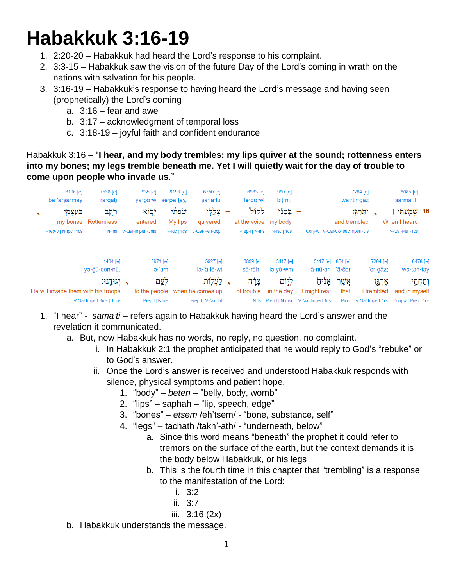# **Habakkuk 3:16-19**

- 1. 2:20-20 Habakkuk had heard the Lord's response to his complaint.
- 2. 3:3-15 Habakkuk saw the vision of the future Day of the Lord's coming in wrath on the nations with salvation for his people.
- 3. 3:16-19 Habakkuk's response to having heard the Lord's message and having seen (prophetically) the Lord's coming
	- a. 3:16 fear and awe
	- b. 3:17 acknowledgment of temporal loss
	- c. 3:18-19 joyful faith and confident endurance

Habakkuk 3:16 – "**I hear, and my body trembles; my lips quiver at the sound; rottenness enters into my bones; my legs tremble beneath me. Yet I will quietly wait for the day of trouble to come upon people who invade us**."



- 1. "I hear" *sama'ti* refers again to Habakkuk having heard the Lord's answer and the revelation it communicated.
	- a. But, now Habakkuk has no words, no reply, no question, no complaint.
		- i. In Habakkuk 2:1 the prophet anticipated that he would reply to God's "rebuke" or to God's answer.
		- ii. Once the Lord's answer is received and understood Habakkuk responds with silence, physical symptoms and patient hope.
			- 1. "body" *beten* "belly, body, womb"
			- 2. "lips" saphah "lip, speech, edge"
			- 3. "bones" *etsem* /eh'tsem/ "bone, substance, self"
			- 4. "legs" tachath /takh'-ath/ "underneath, below"
				- a. Since this word means "beneath" the prophet it could refer to tremors on the surface of the earth, but the context demands it is the body below Habakkuk, or his legs
				- b. This is the fourth time in this chapter that "trembling" is a response to the manifestation of the Lord:
					- i. 3:2
					- ii. 3:7
					- iii. 3:16 (2x)
	- b. Habakkuk understands the message.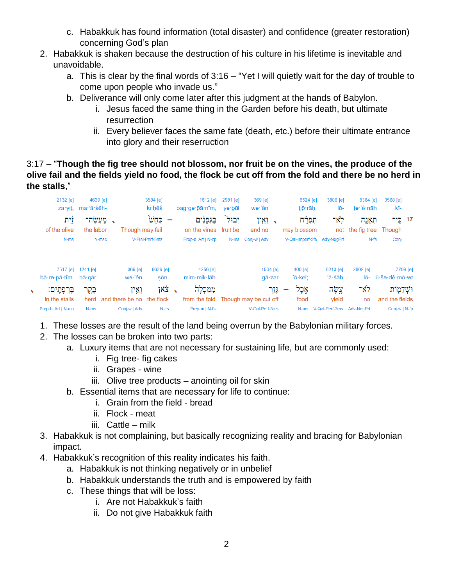- c. Habakkuk has found information (total disaster) and confidence (greater restoration) concerning God's plan
- 2. Habakkuk is shaken because the destruction of his culture in his lifetime is inevitable and unavoidable.
	- a. This is clear by the final words of 3:16 "Yet I will quietly wait for the day of trouble to come upon people who invade us."
	- b. Deliverance will only come later after this judgment at the hands of Babylon.
		- i. Jesus faced the same thing in the Garden before his death, but ultimate resurrection
		- ii. Every believer faces the same fate (death, etc.) before their ultimate entrance into glory and their reserruction

# 3:17 – "**Though the fig tree should not blossom, nor fruit be on the vines, the produce of the olive fail and the fields yield no food, the flock be cut off from the fold and there be no herd in the stalls**,"



- 1. These losses are the result of the land being overrun by the Babylonian military forces.
- 2. The losses can be broken into two parts:
	- a. Luxury items that are not necessary for sustaining life, but are commonly used:
		- i. Fig tree- fig cakes
		- ii. Grapes wine
		- iii. Olive tree products anointing oil for skin
	- b. Essential items that are necessary for life to continue:
		- i. Grain from the field bread
		- ii. Flock meat
		- iii. Cattle milk
- 3. Habakkuk is not complaining, but basically recognizing reality and bracing for Babylonian impact.
- 4. Habakkuk's recognition of this reality indicates his faith.
	- a. Habakkuk is not thinking negatively or in unbelief
	- b. Habakkuk understands the truth and is empowered by faith
	- c. These things that will be loss:
		- i. Are not Habakkuk's faith
		- ii. Do not give Habakkuk faith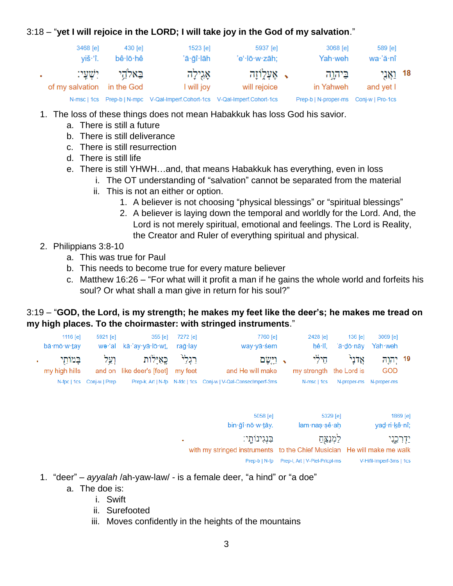# 3:18 – "**yet I will rejoice in the LORD; I will take joy in the God of my salvation**."

|                               | 3468 [e]<br>viš∙'î.        | 430 [e]<br>bê lō hê | 1523 [e]<br>'ā∙gî∙lāh                                                      | 5937 [e]<br>'e'·lō·w·zāh;       | 3068 [e]<br>Yah·weh                    | 589 [e]<br>$wa'$ ă nî   |  |
|-------------------------------|----------------------------|---------------------|----------------------------------------------------------------------------|---------------------------------|----------------------------------------|-------------------------|--|
| $\mathbf{u} \in \mathbb{R}^n$ | of my salvation in the God | באלהי ישעי:         | אָגִילָה<br>I will joy                                                     | א אַעְלְוֹזַה -<br>will rejoice | ביהוה<br>in Yahweh                     | 18 וַאֲנְי<br>and yet I |  |
|                               |                            |                     | N-msc   1cs Prep-b   N-mpc V-Qal-Imperf.Cohort-1cs V-Qal-Imperf.Cohort-1cs |                                 | Prep-b   N-proper-ms  Conj-w   Pro-1cs |                         |  |

- 1. The loss of these things does not mean Habakkuk has loss God his savior.
	- a. There is still a future
	- b. There is still deliverance
	- c. There is still resurrection
	- d. There is still life
	- e. There is still YHWH…and, that means Habakkuk has everything, even in loss
		- i. The OT understanding of "salvation" cannot be separated from the material
		- ii. This is not an either or option.
			- 1. A believer is not choosing "physical blessings" or "spiritual blessings"
			- 2. A believer is laying down the temporal and worldly for the Lord. And, the Lord is not merely spiritual, emotional and feelings. The Lord is Reality, the Creator and Ruler of everything spiritual and physical.

# 2. Philippians 3:8-10

- a. This was true for Paul
- b. This needs to become true for every mature believer
- c. Matthew 16:26 "For what will it profit a man if he gains the whole world and forfeits his soul? Or what shall a man give in return for his soul?"

# 3:19 – "**GOD, the Lord, is my strength; he makes my feet like the deer's; he makes me tread on my high places. To the choirmaster: with stringed instruments**."

| 1116 $[e]$<br>bā·mō·w·tay    | 5921 [e]                  | 355 [e]<br>we·'al kā·'ay·yā·lō·wt, rağ·lay                                   | 7272 [e] | 7760 [e]<br>way vā śem                                         | 2428 [e]<br>hê∙lî.              | $136$ $\lceil e \rceil$<br>'ă·dō·nāy | 3069 [e]<br>Yah weh                |  |
|------------------------------|---------------------------|------------------------------------------------------------------------------|----------|----------------------------------------------------------------|---------------------------------|--------------------------------------|------------------------------------|--|
| בַּמוֹתַי .<br>my high hills |                           | רַגְלַ <sup>וּ</sup> בֶּאַיָּלוֹת וְעַל<br>and on like deer's [feet] my feet |          | √ וַיִּשׂם<br>and He will make                                 | חילי<br>my strength the Lord is | אַלני                                | ר יהוה <sup>19</sup><br><b>GOD</b> |  |
|                              | N-fpc   1cs Conj-w   Prep |                                                                              |          | Prep-k, Art   N-fp N-fdc   1cs Conj-w   V-Qal-ConsecImperf-3ms | N-msc   1cs                     | N-proper-ms N-proper-ms              |                                    |  |

| 5058 [e]<br>$bin \cdot \bar{q} \cdot n \bar{o} \cdot w \cdot \bar{q}$                      | 5329 [e]<br>lam nas sê ah      | 1869 [e]<br>yad·ri·kê·nî; |
|--------------------------------------------------------------------------------------------|--------------------------------|---------------------------|
| בִּנְגִינוֹתֵי:<br>with my stringed instruments to the Chief Musician He will make me walk | לִמְנַצֵּחַ                    | ידרכגי                    |
| Prep-b   N-fp                                                                              | Prep-I, Art   V-Piel-Prtcpl-ms | V-Hifil-Imperf-3ms   1cs  |

- 1. "deer" *ayyalah* /ah-yaw-law/ is a female deer, "a hind" or "a doe"
	- a. The doe is:
		- i. Swift
		- ii. Surefooted
		- iii. Moves confidently in the heights of the mountains